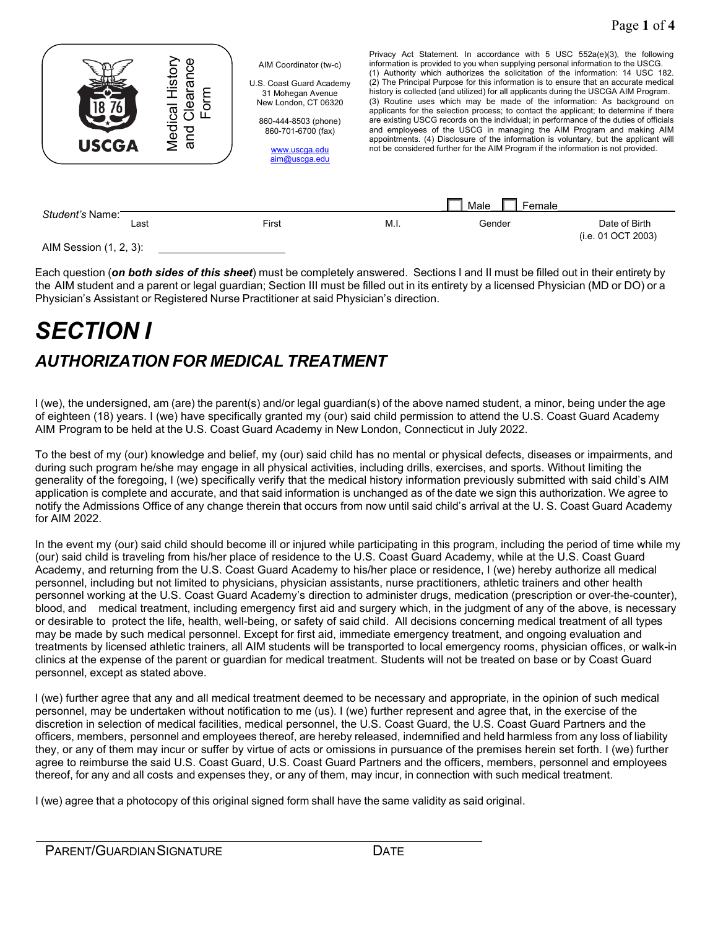

Each question (*on both sides of this sheet*) must be completely answered. Sections I and II must be filled out in their entirety by the AIM student and a parent or legal guardian; Section III must be filled out in its entirety by a licensed Physician (MD or DO) or a Physician's Assistant or Registered Nurse Practitioner at said Physician's direction.

# *SECTION I AUTHORIZATION FOR MEDICAL TREATMENT*

I (we), the undersigned, am (are) the parent(s) and/or legal guardian(s) of the above named student, a minor, being under the age of eighteen (18) years. I (we) have specifically granted my (our) said child permission to attend the U.S. Coast Guard Academy AIM Program to be held at the U.S. Coast Guard Academy in New London, Connecticut in July 2022.

To the best of my (our) knowledge and belief, my (our) said child has no mental or physical defects, diseases or impairments, and during such program he/she may engage in all physical activities, including drills, exercises, and sports. Without limiting the generality of the foregoing, I (we) specifically verify that the medical history information previously submitted with said child's AIM application is complete and accurate, and that said information is unchanged as of the date we sign this authorization. We agree to notify the Admissions Office of any change therein that occurs from now until said child's arrival at the U. S. Coast Guard Academy for AIM 2022.

In the event my (our) said child should become ill or injured while participating in this program, including the period of time while my (our) said child is traveling from his/her place of residence to the U.S. Coast Guard Academy, while at the U.S. Coast Guard Academy, and returning from the U.S. Coast Guard Academy to his/her place or residence, I (we) hereby authorize all medical personnel, including but not limited to physicians, physician assistants, nurse practitioners, athletic trainers and other health personnel working at the U.S. Coast Guard Academy's direction to administer drugs, medication (prescription or over-the-counter), blood, and medical treatment, including emergency first aid and surgery which, in the judgment of any of the above, is necessary or desirable to protect the life, health, well-being, or safety of said child. All decisions concerning medical treatment of all types may be made by such medical personnel. Except for first aid, immediate emergency treatment, and ongoing evaluation and treatments by licensed athletic trainers, all AIM students will be transported to local emergency rooms, physician offices, or walk-in clinics at the expense of the parent or guardian for medical treatment. Students will not be treated on base or by Coast Guard personnel, except as stated above.

I (we) further agree that any and all medical treatment deemed to be necessary and appropriate, in the opinion of such medical personnel, may be undertaken without notification to me (us). I (we) further represent and agree that, in the exercise of the discretion in selection of medical facilities, medical personnel, the U.S. Coast Guard, the U.S. Coast Guard Partners and the officers, members, personnel and employees thereof, are hereby released, indemnified and held harmless from any loss of liability they, or any of them may incur or suffer by virtue of acts or omissions in pursuance of the premises herein set forth. I (we) further agree to reimburse the said U.S. Coast Guard, U.S. Coast Guard Partners and the officers, members, personnel and employees thereof, for any and all costs and expenses they, or any of them, may incur, in connection with such medical treatment.

I (we) agree that a photocopy of this original signed form shall have the same validity as said original.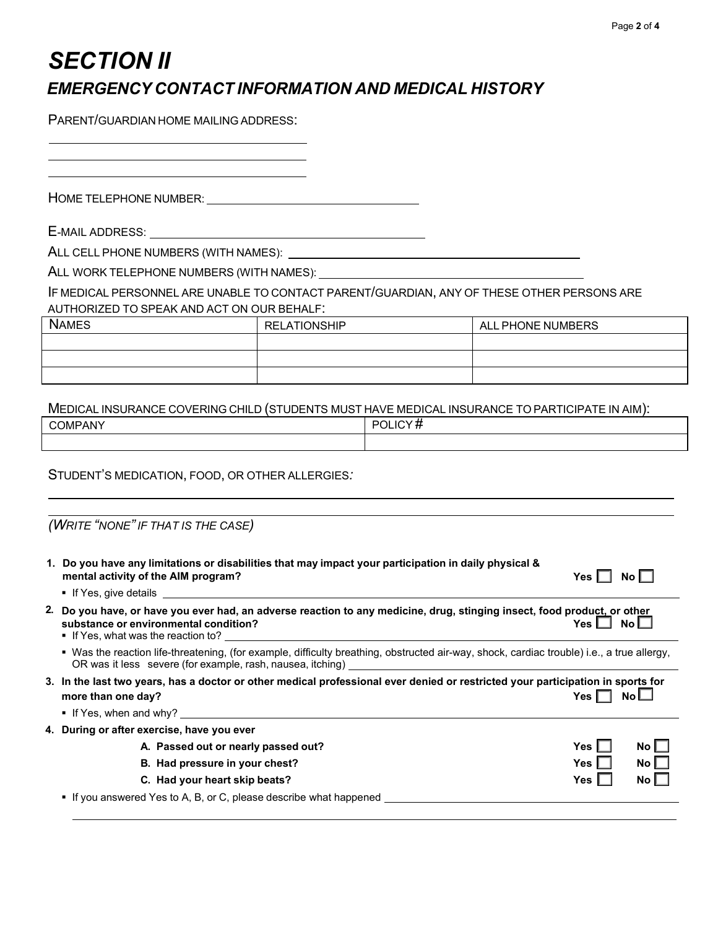### *SECTION II EMERGENCY CONTACT INFORMATION AND MEDICAL HISTORY*

PARENT/GUARDIAN HOME MAILING ADDRESS:

HOME TELEPHONE NUMBER: University of the UNIVERSITY OF THE TELEPHONE NUMBER:

E-MAIL ADDRESS:

ALL CELL PHONE NUMBERS (WITH NAMES):

ALL WORK TELEPHONE NUMBERS (WITH NAMES):

IF MEDICAL PERSONNEL ARE UNABLE TO CONTACT PARENT/GUARDIAN, ANY OF THESE OTHER PERSONS ARE AUTHORIZED TO SPEAK AND ACT ON OUR BEHALF:

| <b>NAMES</b> | <b>RELATIONSHIP</b> | ALL PHONE NUMBERS |
|--------------|---------------------|-------------------|
|              |                     |                   |
|              |                     |                   |
|              |                     |                   |

### MEDICAL INSURANCE COVERING CHILD (STUDENTS MUST HAVE MEDICAL INSURANCE TO PARTICIPATE IN AIM):

| OMPANY<br>r r<br>$\overline{\phantom{a}}$<br><b>OVINIE / WYL</b> | ור<br>,, |
|------------------------------------------------------------------|----------|
|                                                                  |          |

### STUDENT'S MEDICATION, FOOD, OR OTHER ALLERGIES*:*

|  | (WRITE "NONE" IF THAT IS THE CASE) |
|--|------------------------------------|
|--|------------------------------------|

| 1. Do you have any limitations or disabilities that may impact your participation in daily physical &<br>mental activity of the AIM program?<br>$\blacksquare$ If Yes, give details and the state of the state of the state of the state of the state of the state of the state of the state of the state of the state of the state of the state of the state of the state of the sta | Yes l      | No L |
|---------------------------------------------------------------------------------------------------------------------------------------------------------------------------------------------------------------------------------------------------------------------------------------------------------------------------------------------------------------------------------------|------------|------|
| 2. Do you have, or have you ever had, an adverse reaction to any medicine, drug, stinging insect, food product, or other<br>substance or environmental condition?<br>■ If Yes, what was the reaction to? $\blacksquare$                                                                                                                                                               | Yes I      | No l |
| • Was the reaction life-threatening, (for example, difficulty breathing, obstructed air-way, shock, cardiac trouble) i.e., a true allergy,                                                                                                                                                                                                                                            |            |      |
| 3. In the last two years, has a doctor or other medical professional ever denied or restricted your participation in sports for<br>more than one day?<br>If Yes, when and why? $\blacksquare$                                                                                                                                                                                         | Yes I      |      |
| 4. During or after exercise, have you ever                                                                                                                                                                                                                                                                                                                                            |            |      |
| A. Passed out or nearly passed out?                                                                                                                                                                                                                                                                                                                                                   | Yes.       | No l |
| B. Had pressure in your chest?                                                                                                                                                                                                                                                                                                                                                        | <b>Yes</b> | No l |
| C. Had your heart skip beats?                                                                                                                                                                                                                                                                                                                                                         | Yes        | No l |
| • If you answered Yes to A, B, or C, please describe what happened                                                                                                                                                                                                                                                                                                                    |            |      |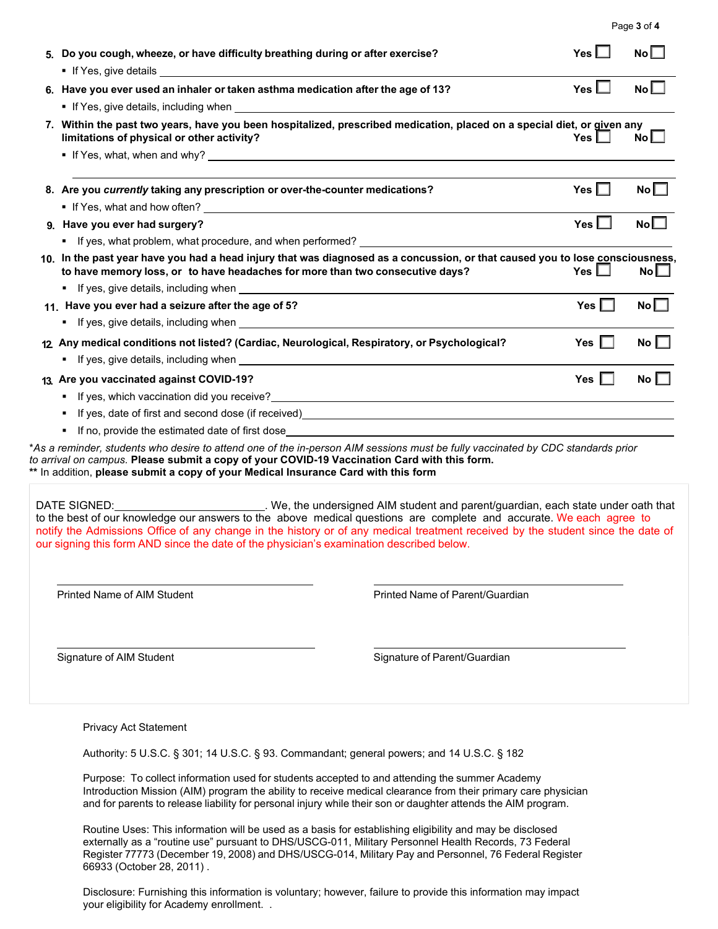| Page 3 of 4 |  |  |
|-------------|--|--|
|             |  |  |

| 5. Do you cough, wheeze, or have difficulty breathing during or after exercise?                                                                                                                                                                                                                                                                                                                                                                                                    |                                 | Yes $\Box$ | No              |
|------------------------------------------------------------------------------------------------------------------------------------------------------------------------------------------------------------------------------------------------------------------------------------------------------------------------------------------------------------------------------------------------------------------------------------------------------------------------------------|---------------------------------|------------|-----------------|
| 6. Have you ever used an inhaler or taken asthma medication after the age of 13?                                                                                                                                                                                                                                                                                                                                                                                                   |                                 | Yes $\Box$ | No <sub>l</sub> |
| If Yes, give details, including when <b>contained a manufacture of the set of the set of the set of the set of the set of the set of the set of the set of the set of the set of the set of the set of the set of the set of the</b>                                                                                                                                                                                                                                               |                                 |            |                 |
| 7. Within the past two years, have you been hospitalized, prescribed medication, placed on a special diet, or given any<br>limitations of physical or other activity?                                                                                                                                                                                                                                                                                                              |                                 | Yes $\Box$ | $No$ $\Box$     |
|                                                                                                                                                                                                                                                                                                                                                                                                                                                                                    |                                 |            |                 |
| 8. Are you currently taking any prescription or over-the-counter medications?                                                                                                                                                                                                                                                                                                                                                                                                      |                                 | Yes $\Box$ | No              |
| lif Yes, what and how often? <u>contained a set of the set of the set of the set of the set of the set of the set o</u>                                                                                                                                                                                                                                                                                                                                                            |                                 |            |                 |
| 9. Have you ever had surgery?                                                                                                                                                                                                                                                                                                                                                                                                                                                      |                                 | Yes $\Box$ | No              |
| If yes, what problem, what procedure, and when performed? Network and the state of the state of the state of the state of the state of the state of the state of the state of the state of the state of the state of the state<br>٠.                                                                                                                                                                                                                                               |                                 |            |                 |
| 10. In the past year have you had a head injury that was diagnosed as a concussion, or that caused you to lose consciousness,<br>to have memory loss, or to have headaches for more than two consecutive days?                                                                                                                                                                                                                                                                     |                                 | Yes $\Box$ | No              |
|                                                                                                                                                                                                                                                                                                                                                                                                                                                                                    |                                 |            |                 |
| 11. Have you ever had a seizure after the age of 5?                                                                                                                                                                                                                                                                                                                                                                                                                                |                                 | Yes $\Box$ | No              |
|                                                                                                                                                                                                                                                                                                                                                                                                                                                                                    |                                 |            |                 |
| 12 Any medical conditions not listed? (Cardiac, Neurological, Respiratory, or Psychological?                                                                                                                                                                                                                                                                                                                                                                                       |                                 | Yes $\Box$ | No $\square$    |
|                                                                                                                                                                                                                                                                                                                                                                                                                                                                                    |                                 |            |                 |
| 13. Are you vaccinated against COVID-19?                                                                                                                                                                                                                                                                                                                                                                                                                                           |                                 | Yes $\Box$ | No $\Box$       |
| ٠                                                                                                                                                                                                                                                                                                                                                                                                                                                                                  |                                 |            |                 |
| ٠                                                                                                                                                                                                                                                                                                                                                                                                                                                                                  |                                 |            |                 |
|                                                                                                                                                                                                                                                                                                                                                                                                                                                                                    |                                 |            |                 |
| *As a reminder, students who desire to attend one of the in-person AIM sessions must be fully vaccinated by CDC standards prior<br>to arrival on campus. Please submit a copy of your COVID-19 Vaccination Card with this form.<br>** In addition, please submit a copy of your Medical Insurance Card with this form                                                                                                                                                              |                                 |            |                 |
| DATE SIGNED: ______________________________. We, the undersigned AIM student and parent/guardian, each state under oath that<br>to the best of our knowledge our answers to the above medical questions are complete and accurate. We each agree to<br>notify the Admissions Office of any change in the history or of any medical treatment received by the student since the date of<br>our signing this form AND since the date of the physician's examination described below. |                                 |            |                 |
| <b>Printed Name of AIM Student</b>                                                                                                                                                                                                                                                                                                                                                                                                                                                 | Printed Name of Parent/Guardian |            |                 |
| Signature of AIM Student                                                                                                                                                                                                                                                                                                                                                                                                                                                           | Signature of Parent/Guardian    |            |                 |
| <b>Privacy Act Statement</b>                                                                                                                                                                                                                                                                                                                                                                                                                                                       |                                 |            |                 |

Purpose: To collect information used for students accepted to and attending the summer Academy Introduction Mission (AIM) program the ability to receive medical clearance from their primary care physician and for parents to release liability for personal injury while their son or daughter attends the AIM program.

Routine Uses: This information will be used as a basis for establishing eligibility and may be disclosed externally as a "routine use" pursuant to DHS/USCG-011, Military Personnel Health Records, 73 Federal Register 77773 (December 19, 2008) and DHS/USCG-014, Military Pay and Personnel, 76 Federal Register 66933 (October 28, 2011) .

Disclosure: Furnishing this information is voluntary; however, failure to provide this information may impact your eligibility for Academy enrollment. .